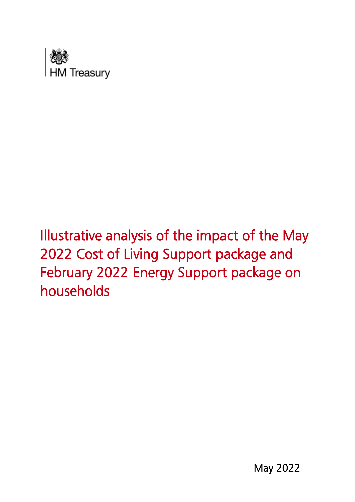

# Illustrative analysis of the impact of the May 2022 Cost of Living Support package and February 2022 Energy Support package on households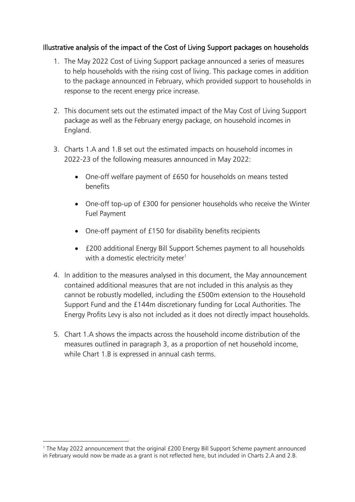## Illustrative analysis of the impact of the Cost of Living Support packages on households

- 1. The May 2022 Cost of Living Support package announced a series of measures to help households with the rising cost of living. This package comes in addition to the package announced in February, which provided support to households in response to the recent energy price increase.
- 2. This document sets out the estimated impact of the May Cost of Living Support package as well as the February energy package, on household incomes in England.
- 3. Charts 1.A and 1.B set out the estimated impacts on household incomes in 2022-23 of the following measures announced in May 2022:
	- One-off welfare payment of £650 for households on means tested benefits
	- One-off top-up of £300 for pensioner households who receive the Winter Fuel Payment
	- One-off payment of £150 for disability benefits recipients
	- £200 additional Energy Bill Support Schemes payment to all households with a domestic electricity meter $1$
- 4. In addition to the measures analysed in this document, the May announcement contained additional measures that are not included in this analysis as they cannot be robustly modelled, including the £500m extension to the Household Support Fund and the £144m discretionary funding for Local Authorities. The Energy Profits Levy is also not included as it does not directly impact households.
- 5. Chart 1.A shows the impacts across the household income distribution of the measures outlined in paragraph 3, as a proportion of net household income, while Chart 1.B is expressed in annual cash terms.

<sup>1</sup> The May 2022 announcement that the original £200 Energy Bill Support Scheme payment announced in February would now be made as a grant is not reflected here, but included in Charts 2.A and 2.B.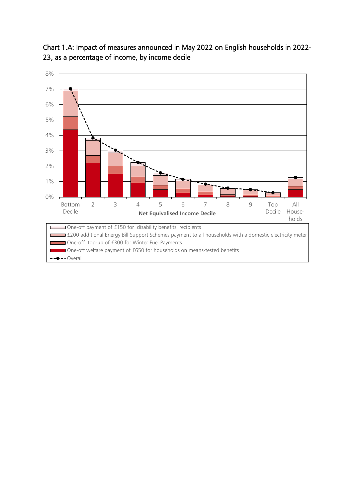

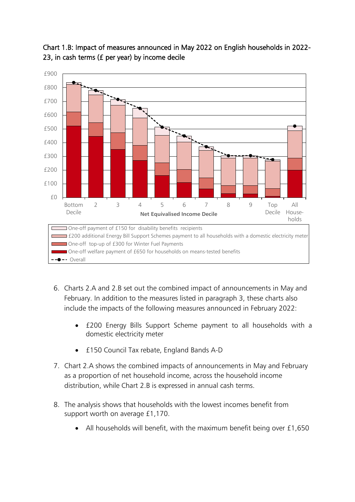

# Chart 1.B: Impact of measures announced in May 2022 on English households in 2022- 23, in cash terms (£ per year) by income decile

- 6. Charts 2.A and 2.B set out the combined impact of announcements in May and February. In addition to the measures listed in paragraph 3, these charts also include the impacts of the following measures announced in February 2022:
	- £200 Energy Bills Support Scheme payment to all households with a domestic electricity meter
	- £150 Council Tax rebate, England Bands A-D
- 7. Chart 2.A shows the combined impacts of announcements in May and February as a proportion of net household income, across the household income distribution, while Chart 2.B is expressed in annual cash terms.
- 8. The analysis shows that households with the lowest incomes benefit from support worth on average £1,170.
	- All households will benefit, with the maximum benefit being over £1,650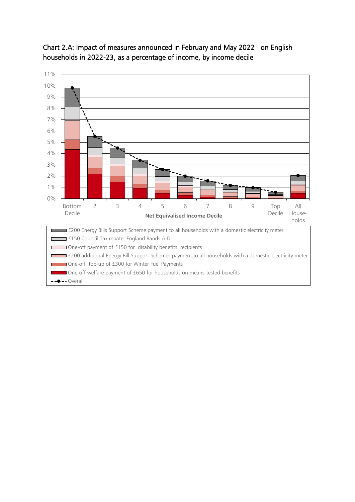

Chart 2.A: Impact of measures announced in February and May 2022 on English households in 2022-23, as a percentage of income, by income decile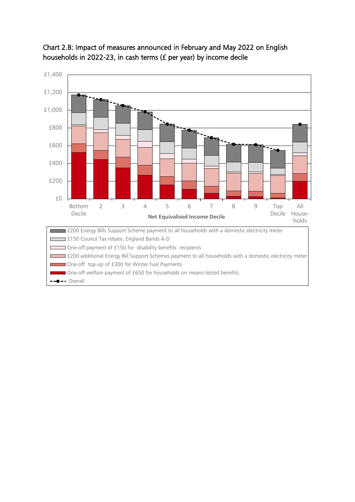

## Chart 2.B: Impact of measures announced in February and May 2022 on English households in 2022-23, in cash terms (£ per year) by income decile